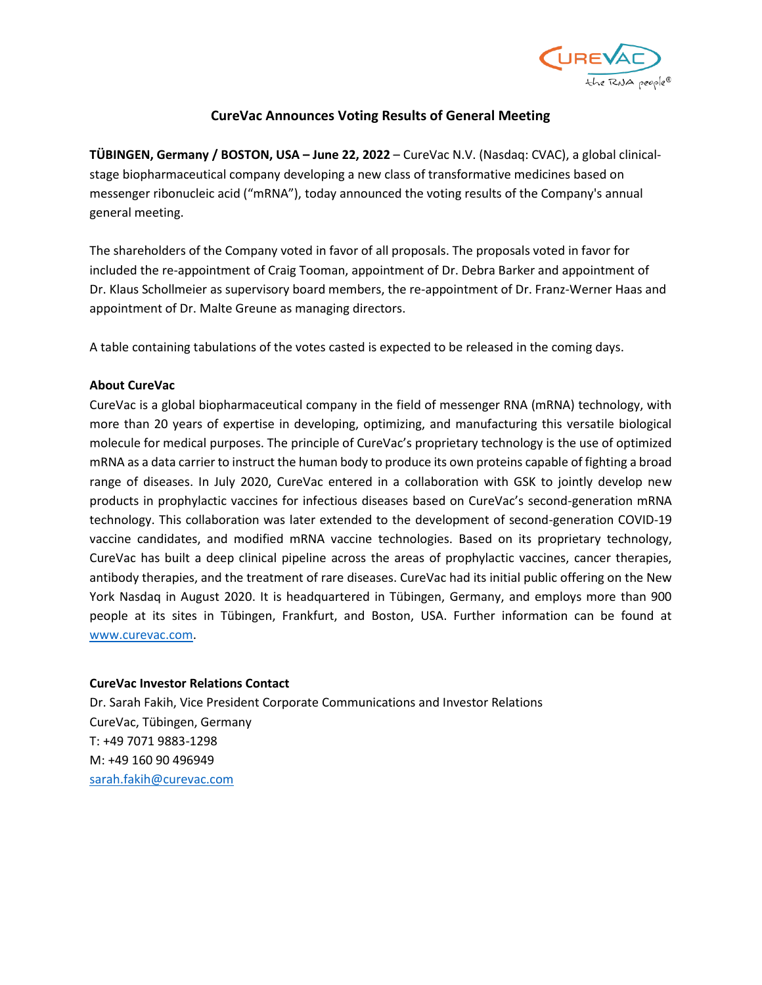

# **CureVac Announces Voting Results of General Meeting**

**TÜBINGEN, Germany / BOSTON, USA – June 22, 2022** – CureVac N.V. (Nasdaq: CVAC), a global clinicalstage biopharmaceutical company developing a new class of transformative medicines based on messenger ribonucleic acid ("mRNA"), today announced the voting results of the Company's annual general meeting.

The shareholders of the Company voted in favor of all proposals. The proposals voted in favor for included the re-appointment of Craig Tooman, appointment of Dr. Debra Barker and appointment of Dr. Klaus Schollmeier as supervisory board members, the re-appointment of Dr. Franz-Werner Haas and appointment of Dr. Malte Greune as managing directors.

A table containing tabulations of the votes casted is expected to be released in the coming days.

## **About CureVac**

CureVac is a global biopharmaceutical company in the field of messenger RNA (mRNA) technology, with more than 20 years of expertise in developing, optimizing, and manufacturing this versatile biological molecule for medical purposes. The principle of CureVac's proprietary technology is the use of optimized mRNA as a data carrier to instruct the human body to produce its own proteins capable of fighting a broad range of diseases. In July 2020, CureVac entered in a collaboration with GSK to jointly develop new products in prophylactic vaccines for infectious diseases based on CureVac's second-generation mRNA technology. This collaboration was later extended to the development of second-generation COVID-19 vaccine candidates, and modified mRNA vaccine technologies. Based on its proprietary technology, CureVac has built a deep clinical pipeline across the areas of prophylactic vaccines, cancer therapies, antibody therapies, and the treatment of rare diseases. CureVac had its initial public offering on the New York Nasdaq in August 2020. It is headquartered in Tübingen, Germany, and employs more than 900 people at its sites in Tübingen, Frankfurt, and Boston, USA. Further information can be found at [www.curevac.com.](http://www.curevac.com/)

### **CureVac Investor Relations Contact**

Dr. Sarah Fakih, Vice President Corporate Communications and Investor Relations CureVac, Tübingen, Germany T: +49 7071 9883-1298 M: +49 160 90 496949 [sarah.fakih@curevac.com](mailto:sarah.fakih@curevac.com)